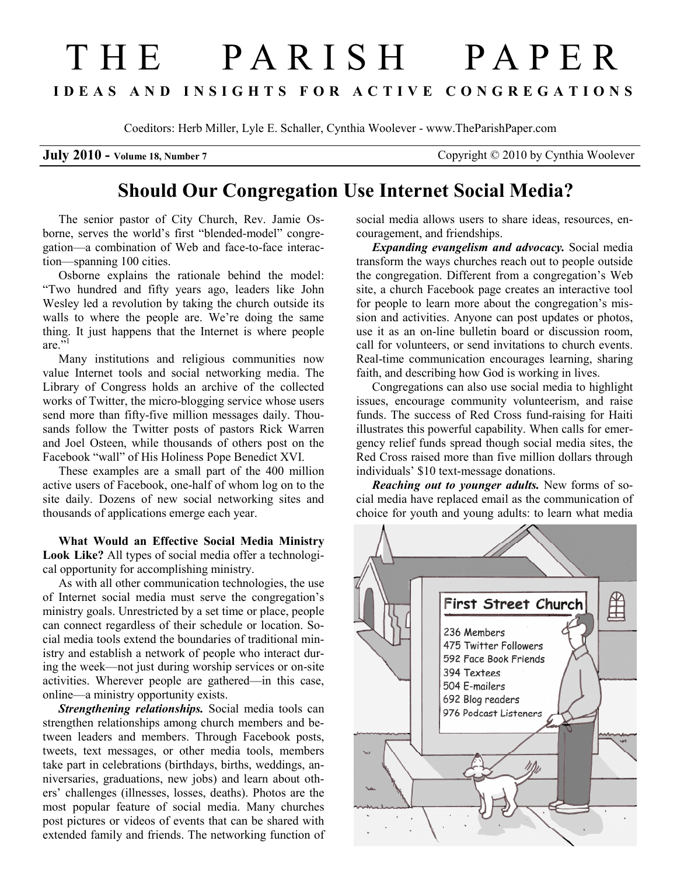## T H E P A R I S H P A P E R I D E A S A N D I N S I G H T S F O R A C T I V E C O N G R E G A T I O N S

Coeditors: Herb Miller, Lyle E. Schaller, Cynthia Woolever - www.TheParishPaper.com

July 2010 - Volume 18, Number 7 Copyright © 2010 by Cynthia Woolever

## Should Our Congregation Use Internet Social Media?

The senior pastor of City Church, Rev. Jamie Osborne, serves the world's first "blended-model" congregation—a combination of Web and face-to-face interaction—spanning 100 cities.

Osborne explains the rationale behind the model: "Two hundred and fifty years ago, leaders like John Wesley led a revolution by taking the church outside its walls to where the people are. We're doing the same thing. It just happens that the Internet is where people are"

Many institutions and religious communities now value Internet tools and social networking media. The Library of Congress holds an archive of the collected works of Twitter, the micro-blogging service whose users send more than fifty-five million messages daily. Thousands follow the Twitter posts of pastors Rick Warren and Joel Osteen, while thousands of others post on the Facebook "wall" of His Holiness Pope Benedict XVI.

These examples are a small part of the 400 million active users of Facebook, one-half of whom log on to the site daily. Dozens of new social networking sites and thousands of applications emerge each year.

What Would an Effective Social Media Ministry Look Like? All types of social media offer a technological opportunity for accomplishing ministry.

As with all other communication technologies, the use of Internet social media must serve the congregation's ministry goals. Unrestricted by a set time or place, people can connect regardless of their schedule or location. Social media tools extend the boundaries of traditional ministry and establish a network of people who interact during the week—not just during worship services or on-site activities. Wherever people are gathered—in this case, online—a ministry opportunity exists.

Strengthening relationships. Social media tools can strengthen relationships among church members and between leaders and members. Through Facebook posts, tweets, text messages, or other media tools, members take part in celebrations (birthdays, births, weddings, anniversaries, graduations, new jobs) and learn about others' challenges (illnesses, losses, deaths). Photos are the most popular feature of social media. Many churches post pictures or videos of events that can be shared with extended family and friends. The networking function of social media allows users to share ideas, resources, encouragement, and friendships.

Expanding evangelism and advocacy. Social media transform the ways churches reach out to people outside the congregation. Different from a congregation's Web site, a church Facebook page creates an interactive tool for people to learn more about the congregation's mission and activities. Anyone can post updates or photos, use it as an on-line bulletin board or discussion room, call for volunteers, or send invitations to church events. Real-time communication encourages learning, sharing faith, and describing how God is working in lives.

Congregations can also use social media to highlight issues, encourage community volunteerism, and raise funds. The success of Red Cross fund-raising for Haiti illustrates this powerful capability. When calls for emergency relief funds spread though social media sites, the Red Cross raised more than five million dollars through individuals' \$10 text-message donations.

**Reaching out to younger adults.** New forms of social media have replaced email as the communication of choice for youth and young adults: to learn what media